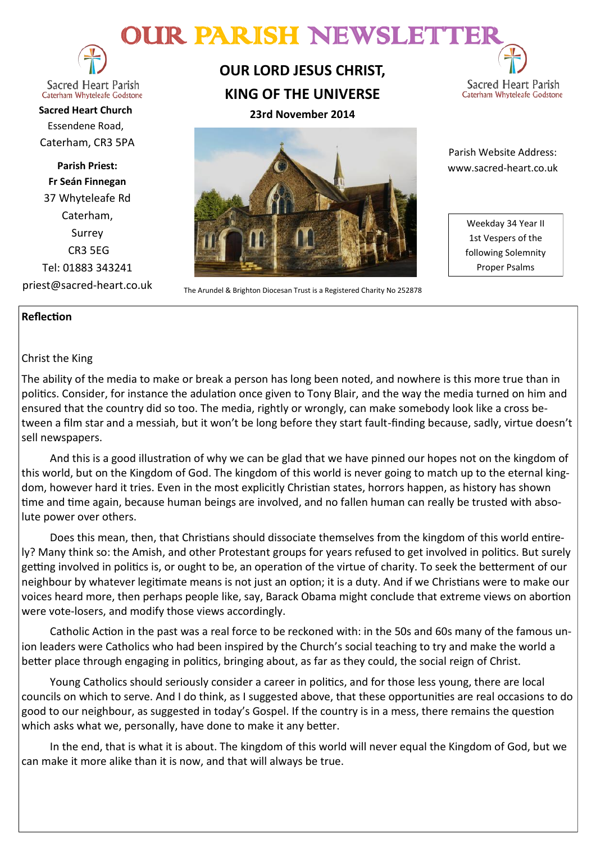# OUR PARISH NEWSLETT



#### **Sacred Heart Parish** Caterham Whyteleafe Godstone

**Sacred Heart Church** Essendene Road, Caterham, CR3 5PA

**Parish Priest: Fr Seán Finnegan** 37 Whyteleafe Rd Caterham, Surrey CR3 5EG Tel: 01883 343241 priest@sacred-heart.co.uk

## **OUR LORD JESUS CHRIST, KING OF THE UNIVERSE**



**23rd November 2014**



The Arundel & Brighton Diocesan Trust is a Registered Charity No 252878

 Parish Website Address: www.sacred-heart.co.uk

> Weekday 34 Year II 1st Vespers of the following Solemnity Proper Psalms

## **Reflection**

## Christ the King

The ability of the media to make or break a person has long been noted, and nowhere is this more true than in politics. Consider, for instance the adulation once given to Tony Blair, and the way the media turned on him and ensured that the country did so too. The media, rightly or wrongly, can make somebody look like a cross between a film star and a messiah, but it won't be long before they start fault-finding because, sadly, virtue doesn't sell newspapers.

And this is a good illustration of why we can be glad that we have pinned our hopes not on the kingdom of this world, but on the Kingdom of God. The kingdom of this world is never going to match up to the eternal kingdom, however hard it tries. Even in the most explicitly Christian states, horrors happen, as history has shown time and time again, because human beings are involved, and no fallen human can really be trusted with absolute power over others.

Does this mean, then, that Christians should dissociate themselves from the kingdom of this world entirely? Many think so: the Amish, and other Protestant groups for years refused to get involved in politics. But surely getting involved in politics is, or ought to be, an operation of the virtue of charity. To seek the betterment of our neighbour by whatever legitimate means is not just an option; it is a duty. And if we Christians were to make our voices heard more, then perhaps people like, say, Barack Obama might conclude that extreme views on abortion were vote-losers, and modify those views accordingly.

Catholic Action in the past was a real force to be reckoned with: in the 50s and 60s many of the famous union leaders were Catholics who had been inspired by the Church's social teaching to try and make the world a better place through engaging in politics, bringing about, as far as they could, the social reign of Christ.

Young Catholics should seriously consider a career in politics, and for those less young, there are local councils on which to serve. And I do think, as I suggested above, that these opportunities are real occasions to do good to our neighbour, as suggested in today's Gospel. If the country is in a mess, there remains the question which asks what we, personally, have done to make it any better.

In the end, that is what it is about. The kingdom of this world will never equal the Kingdom of God, but we can make it more alike than it is now, and that will always be true.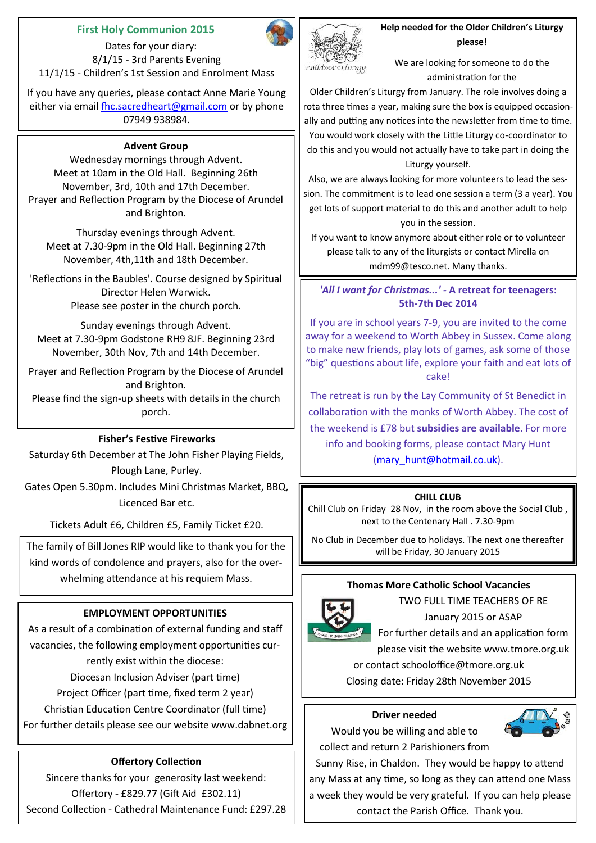## **First Holy Communion 2015**

 Dates for your diary: 8/1/15 - 3rd Parents Evening 11/1/15 - Children's 1st Session and Enrolment Mass

If you have any queries, please contact Anne Marie Young either via email [fhc.sacredheart@gmail.com](mailto:fhc.sacredheart@gmail.com) or by phone 07949 938984.

#### **Advent Group**

Wednesday mornings through Advent. Meet at 10am in the Old Hall. Beginning 26th November, 3rd, 10th and 17th December. Prayer and Reflection Program by the Diocese of Arundel and Brighton.

Thursday evenings through Advent. Meet at 7.30-9pm in the Old Hall. Beginning 27th November, 4th,11th and 18th December.

'Reflections in the Baubles'. Course designed by Spiritual Director Helen Warwick. Please see poster in the church porch.

Sunday evenings through Advent. Meet at 7.30-9pm Godstone RH9 8JF. Beginning 23rd November, 30th Nov, 7th and 14th December.

Prayer and Reflection Program by the Diocese of Arundel and Brighton.

Please find the sign-up sheets with details in the church porch.

## **Fisher's Festive Fireworks**

Saturday 6th December at The John Fisher Playing Fields, Plough Lane, Purley.

Gates Open 5.30pm. Includes Mini Christmas Market, BBQ, Licenced Bar etc.

Tickets Adult £6, Children £5, Family Ticket £20.

The family of Bill Jones RIP would like to thank you for the kind words of condolence and prayers, also for the overwhelming attendance at his requiem Mass.

## **EMPLOYMENT OPPORTUNITIES**

As a result of a combination of external funding and staff vacancies, the following employment opportunities currently exist within the diocese: Diocesan Inclusion Adviser (part time) Project Officer (part time, fixed term 2 year) Christian Education Centre Coordinator (full time) For further details please see our website www.dabnet.org

## **Offertory Collection**

Sincere thanks for your generosity last weekend: Offertory - £829.77 (Gift Aid £302.11) Second Collection - Cathedral Maintenance Fund: £297.28



**Help needed for the Older Children's Liturgy please!**

We are looking for someone to do the administration for the

Older Children's Liturgy from January. The role involves doing a rota three times a year, making sure the box is equipped occasionally and putting any notices into the newsletter from time to time. You would work closely with the Little Liturgy co-coordinator to do this and you would not actually have to take part in doing the Liturgy yourself.

Also, we are always looking for more volunteers to lead the session. The commitment is to lead one session a term (3 a year). You get lots of support material to do this and another adult to help you in the session.

If you want to know anymore about either role or to volunteer please talk to any of the liturgists or contact Mirella on mdm99@tesco.net. Many thanks.

## *'All I want for Christmas...' -* **A retreat for teenagers: 5th-7th Dec 2014**

If you are in school years 7-9, you are invited to the come away for a weekend to Worth Abbey in Sussex. Come along to make new friends, play lots of games, ask some of those "big" questions about life, explore your faith and eat lots of cake!

The retreat is run by the Lay Community of St Benedict in collaboration with the monks of Worth Abbey. The cost of the weekend is £78 but **subsidies are available**. For more info and booking forms, please contact Mary Hunt [\(mary\\_hunt@hotmail.co.uk\)](mailto:katyrussell@hotmail.co.uk).

#### **CHILL CLUB**

Chill Club on Friday 28 Nov, in the room above the Social Club , next to the Centenary Hall . 7.30-9pm

No Club in December due to holidays. The next one thereafter will be Friday, 30 January 2015

## **Thomas More Catholic School Vacancies**



TWO FULL TIME TEACHERS OF RE

January 2015 or ASAP

For further details and an application form

please visit the website www.tmore.org.uk or contact schooloffice@tmore.org.uk

Closing date: Friday 28th November 2015

#### **Driver needed**

Would you be willing and able to collect and return 2 Parishioners from



Sunny Rise, in Chaldon. They would be happy to attend any Mass at any time, so long as they can attend one Mass a week they would be very grateful. If you can help please contact the Parish Office. Thank you.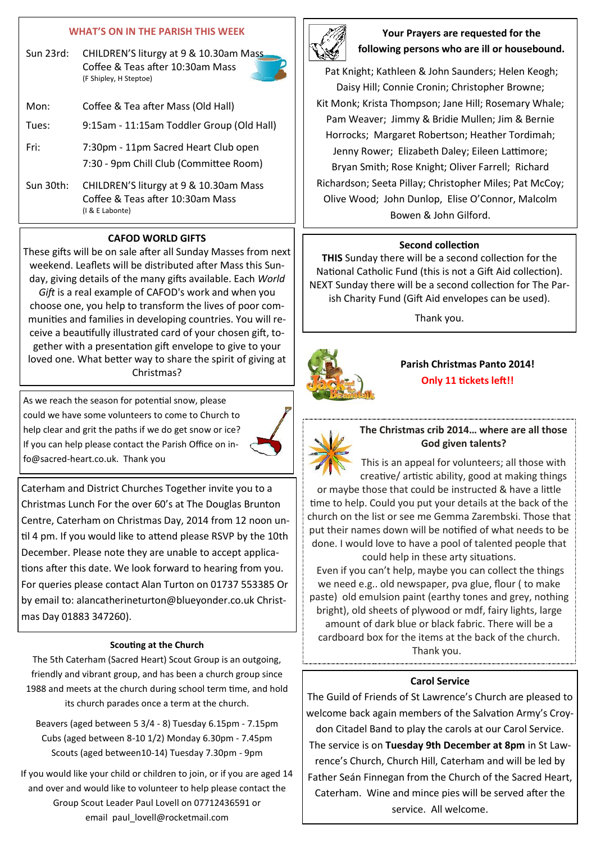## **WHAT'S ON IN THE PARISH THIS WEEK**

Sun 23rd: CHILDREN'S liturgy at 9 & 10.30am Mass Coffee & Teas after 10:30am Mass (F Shipley, H Steptoe)

| Mon:      | Coffee & Tea after Mass (Old Hall)                                                            |
|-----------|-----------------------------------------------------------------------------------------------|
| Tues:     | 9:15am - 11:15am Toddler Group (Old Hall)                                                     |
| Fri:      | 7:30pm - 11pm Sacred Heart Club open<br>7:30 - 9pm Chill Club (Committee Room)                |
| Sun 30th: | CHILDREN'S liturgy at 9 & 10.30am Mass<br>Coffee & Teas after 10:30am Mass<br>(I & E Labonte) |

#### **CAFOD WORLD GIFTS**

These gifts will be on sale after all Sunday Masses from next weekend. Leaflets will be distributed after Mass this Sunday, giving details of the many gifts available. Each *World Gift* is a real example of CAFOD's work and when you choose one, you help to transform the lives of poor communities and families in developing countries. You will receive a beautifully illustrated card of your chosen gift, together with a presentation gift envelope to give to your loved one. What better way to share the spirit of giving at Christmas?

As we reach the season for potential snow, please could we have some volunteers to come to Church to help clear and grit the paths if we do get snow or ice? If you can help please contact the Parish Office on info@sacred-heart.co.uk. Thank you



Caterham and District Churches Together invite you to a Christmas Lunch For the over 60's at The Douglas Brunton Centre, Caterham on Christmas Day, 2014 from 12 noon until 4 pm. If you would like to attend please RSVP by the 10th December. Please note they are unable to accept applications after this date. We look forward to hearing from you. For queries please contact Alan Turton on 01737 553385 Or by email to: alancatherineturton@blueyonder.co.uk Christmas Day 01883 347260).

#### **Scouting at the Church**

The 5th Caterham (Sacred Heart) Scout Group is an outgoing, friendly and vibrant group, and has been a church group since 1988 and meets at the church during school term time, and hold its church parades once a term at the church.

Beavers (aged between 5 3/4 - 8) Tuesday 6.15pm - 7.15pm Cubs (aged between 8-10 1/2) Monday 6.30pm - 7.45pm Scouts (aged between10-14) Tuesday 7.30pm - 9pm

If you would like your child or children to join, or if you are aged 14 and over and would like to volunteer to help please contact the Group Scout Leader Paul Lovell on 07712436591 or email paul lovell@rocketmail.com



## **Your Prayers are requested for the following persons who are ill or housebound.**

Pat Knight; Kathleen & John Saunders; Helen Keogh; Daisy Hill; Connie Cronin; Christopher Browne; Kit Monk; Krista Thompson; Jane Hill; Rosemary Whale; Pam Weaver; Jimmy & Bridie Mullen; Jim & Bernie Horrocks; Margaret Robertson; Heather Tordimah; Jenny Rower; Elizabeth Daley; Eileen Lattimore; Bryan Smith; Rose Knight; Oliver Farrell; Richard Richardson; Seeta Pillay; Christopher Miles; Pat McCoy; Olive Wood; John Dunlop, Elise O'Connor, Malcolm Bowen & John Gilford.

#### **Second collection**

**THIS** Sunday there will be a second collection for the National Catholic Fund (this is not a Gift Aid collection). NEXT Sunday there will be a second collection for The Parish Charity Fund (Gift Aid envelopes can be used).

Thank you.



**Parish Christmas Panto 2014! Only 11 tickets left!!**



**The Christmas crib 2014… where are all those God given talents?**

This is an appeal for volunteers; all those with creative/ artistic ability, good at making things

or maybe those that could be instructed & have a little time to help. Could you put your details at the back of the church on the list or see me Gemma Zarembski. Those that put their names down will be notified of what needs to be done. I would love to have a pool of talented people that could help in these arty situations.

Even if you can't help, maybe you can collect the things we need e.g.. old newspaper, pva glue, flour ( to make paste) old emulsion paint (earthy tones and grey, nothing bright), old sheets of plywood or mdf, fairy lights, large amount of dark blue or black fabric. There will be a cardboard box for the items at the back of the church. Thank you.

## **Carol Service**

The Guild of Friends of St Lawrence's Church are pleased to welcome back again members of the Salvation Army's Croydon Citadel Band to play the carols at our Carol Service.

The service is on **Tuesday 9th December at 8pm** in St Lawrence's Church, Church Hill, Caterham and will be led by Father Seán Finnegan from the Church of the Sacred Heart, Caterham. Wine and mince pies will be served after the service. All welcome.